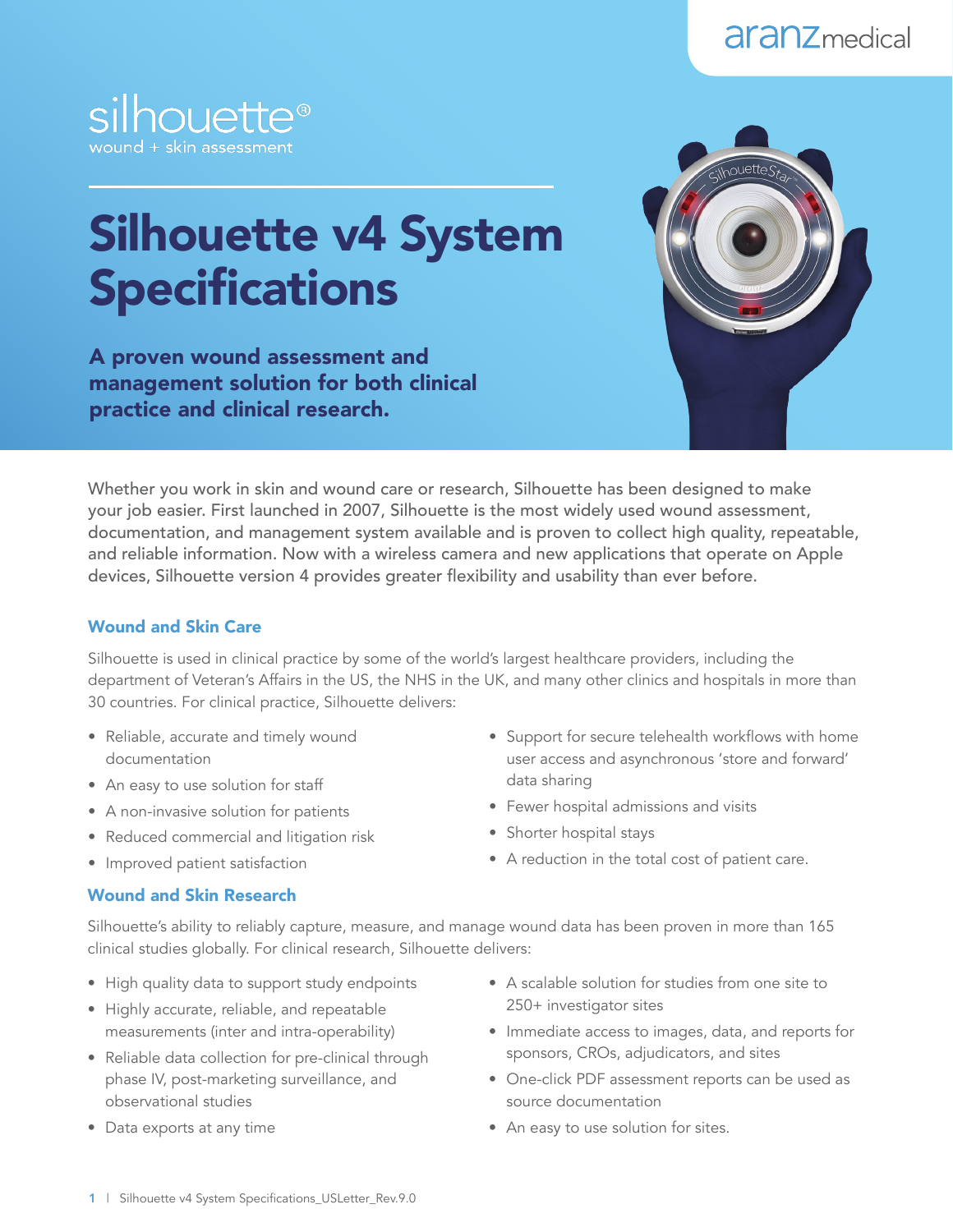



# Silhouette v4 System **Specifications**

A proven wound assessment and management solution for both clinical practice and clinical research.



Whether you work in skin and wound care or research, Silhouette has been designed to make your job easier. First launched in 2007, Silhouette is the most widely used wound assessment, documentation, and management system available and is proven to collect high quality, repeatable, and reliable information. Now with a wireless camera and new applications that operate on Apple devices, Silhouette version 4 provides greater flexibility and usability than ever before.

#### Wound and Skin Care

Silhouette is used in clinical practice by some of the world's largest healthcare providers, including the department of Veteran's Affairs in the US, the NHS in the UK, and many other clinics and hospitals in more than 30 countries. For clinical practice, Silhouette delivers:

- Reliable, accurate and timely wound documentation
- An easy to use solution for staff
- A non-invasive solution for patients
- Reduced commercial and litigation risk
- Improved patient satisfaction

# user access and asynchronous 'store and forward' data sharing • Fewer hospital admissions and visits

• Support for secure telehealth workflows with home

- Shorter hospital stays
- A reduction in the total cost of patient care.

#### Wound and Skin Research

Silhouette's ability to reliably capture, measure, and manage wound data has been proven in more than 165 clinical studies globally. For clinical research, Silhouette delivers:

- High quality data to support study endpoints
- Highly accurate, reliable, and repeatable measurements (inter and intra-operability)
- Reliable data collection for pre-clinical through phase IV, post-marketing surveillance, and observational studies
- Data exports at any time
- A scalable solution for studies from one site to 250+ investigator sites
- Immediate access to images, data, and reports for sponsors, CROs, adjudicators, and sites
- One-click PDF assessment reports can be used as source documentation
- An easy to use solution for sites.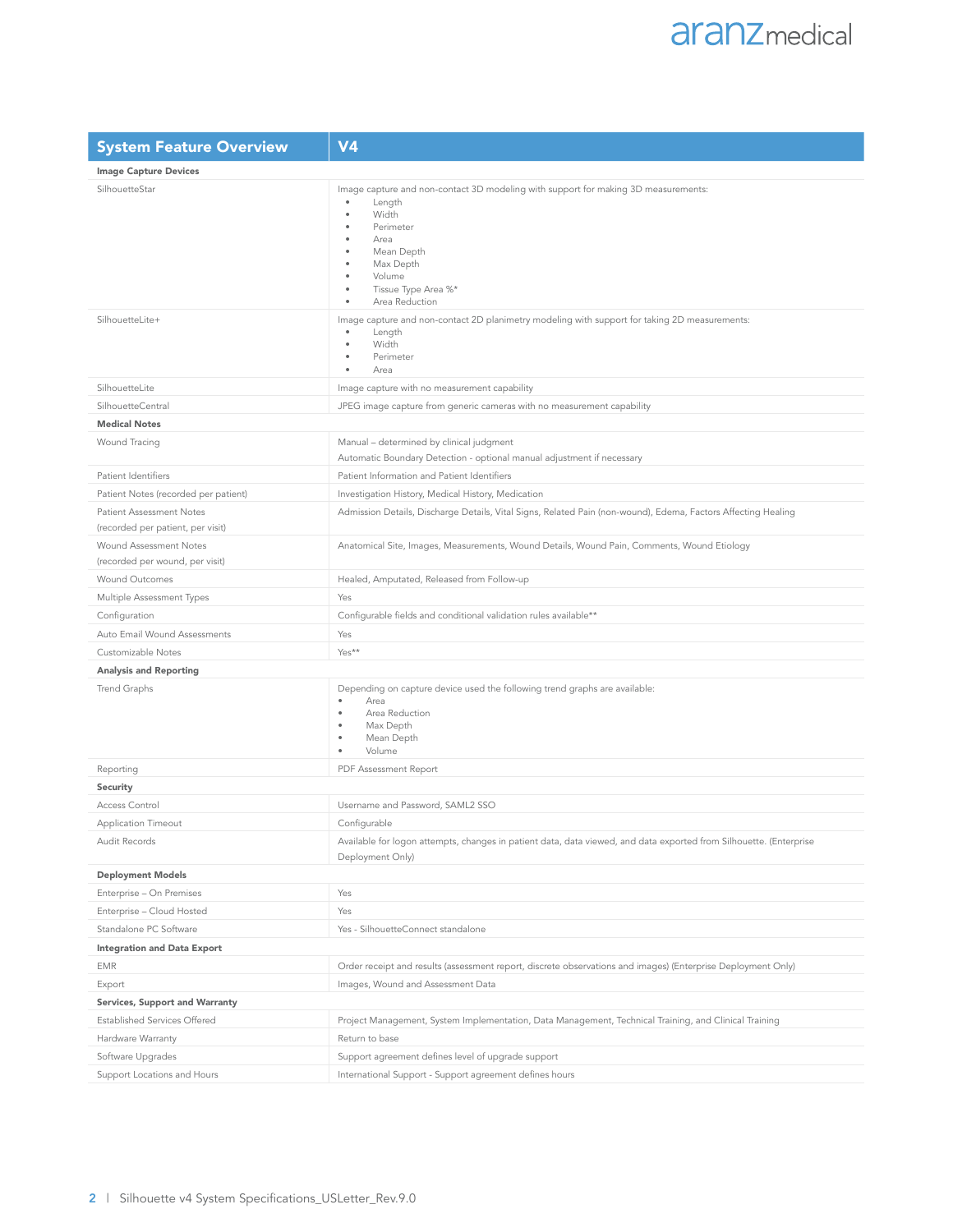| <b>System Feature Overview</b>                                       | V <sub>4</sub>                                                                                                                                                                                                |
|----------------------------------------------------------------------|---------------------------------------------------------------------------------------------------------------------------------------------------------------------------------------------------------------|
| <b>Image Capture Devices</b>                                         |                                                                                                                                                                                                               |
| SilhouetteStar                                                       | Image capture and non-contact 3D modeling with support for making 3D measurements:<br>Length<br>Width<br>Perimeter<br>Area<br>Mean Depth<br>Max Depth<br>Volume<br>Tissue Type Area %*<br>Area Reduction<br>٠ |
| SilhouetteLite+                                                      | Image capture and non-contact 2D planimetry modeling with support for taking 2D measurements:<br>Length<br>Width<br>٠<br>Perimeter<br>Area                                                                    |
| SilhouetteLite                                                       | Image capture with no measurement capability                                                                                                                                                                  |
| SilhouetteCentral                                                    | JPEG image capture from generic cameras with no measurement capability                                                                                                                                        |
| <b>Medical Notes</b>                                                 |                                                                                                                                                                                                               |
| Wound Tracing                                                        | Manual - determined by clinical judgment<br>Automatic Boundary Detection - optional manual adjustment if necessary                                                                                            |
| Patient Identifiers                                                  | Patient Information and Patient Identifiers                                                                                                                                                                   |
| Patient Notes (recorded per patient)                                 | Investigation History, Medical History, Medication                                                                                                                                                            |
| <b>Patient Assessment Notes</b><br>(recorded per patient, per visit) | Admission Details, Discharge Details, Vital Signs, Related Pain (non-wound), Edema, Factors Affecting Healing                                                                                                 |
| Wound Assessment Notes<br>(recorded per wound, per visit)            | Anatomical Site, Images, Measurements, Wound Details, Wound Pain, Comments, Wound Etiology                                                                                                                    |
| Wound Outcomes                                                       | Healed, Amputated, Released from Follow-up                                                                                                                                                                    |
| Multiple Assessment Types                                            | Yes                                                                                                                                                                                                           |
| Configuration                                                        | Configurable fields and conditional validation rules available**                                                                                                                                              |
| Auto Email Wound Assessments                                         | Yes                                                                                                                                                                                                           |
| Customizable Notes                                                   | Yes**                                                                                                                                                                                                         |
| <b>Analysis and Reporting</b>                                        |                                                                                                                                                                                                               |
| Trend Graphs                                                         | Depending on capture device used the following trend graphs are available:<br>Area<br>$\bullet$<br>Area Reduction<br>Max Depth<br>Mean Depth<br>Volume<br>٠                                                   |
| Reporting                                                            | PDF Assessment Report                                                                                                                                                                                         |
| Security                                                             |                                                                                                                                                                                                               |
| Access Control                                                       | Username and Password, SAML2 SSO                                                                                                                                                                              |
| Application Timeout                                                  | Configurable                                                                                                                                                                                                  |
| Audit Records                                                        | Available for logon attempts, changes in patient data, data viewed, and data exported from Silhouette. (Enterprise<br>Deployment Only)                                                                        |
| <b>Deployment Models</b>                                             |                                                                                                                                                                                                               |
| Enterprise - On Premises                                             | Yes                                                                                                                                                                                                           |
| Enterprise - Cloud Hosted                                            | Yes                                                                                                                                                                                                           |
| Standalone PC Software                                               | Yes - SilhouetteConnect standalone                                                                                                                                                                            |
| <b>Integration and Data Export</b>                                   |                                                                                                                                                                                                               |
| <b>EMR</b>                                                           | Order receipt and results (assessment report, discrete observations and images) (Enterprise Deployment Only)                                                                                                  |
| Export                                                               | Images, Wound and Assessment Data                                                                                                                                                                             |
| Services, Support and Warranty                                       |                                                                                                                                                                                                               |
| Established Services Offered                                         | Project Management, System Implementation, Data Management, Technical Training, and Clinical Training                                                                                                         |
| Hardware Warranty                                                    | Return to base                                                                                                                                                                                                |
| Software Upgrades                                                    | Support agreement defines level of upgrade support                                                                                                                                                            |
| Support Locations and Hours                                          | International Support - Support agreement defines hours                                                                                                                                                       |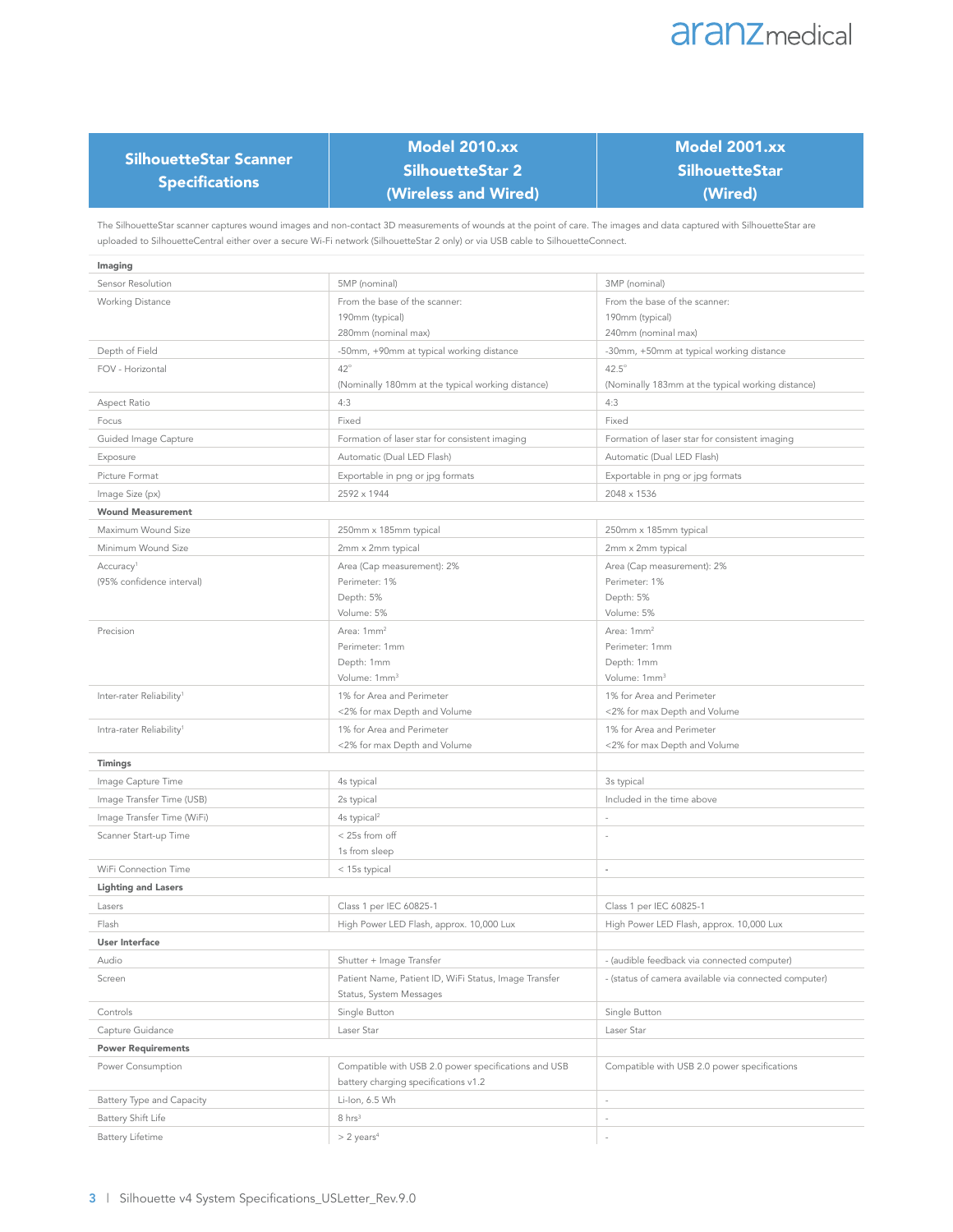

| SilhouetteStar Scanner |  |
|------------------------|--|
| <b>Specifications</b>  |  |

# Model 2010.xx SilhouetteStar 2 (Wireless and Wired)

# Model 2001.xx **SilhouetteStar** (Wired)

The SilhouetteStar scanner captures wound images and non-contact 3D measurements of wounds at the point of care. The images and data captured with SilhouetteStar are uploaded to SilhouetteCentral either over a secure Wi-Fi network (SilhouetteStar 2 only) or via USB cable to SilhouetteConnect.

| Imaging                              |                                                           |                                                           |
|--------------------------------------|-----------------------------------------------------------|-----------------------------------------------------------|
| Sensor Resolution                    | 5MP (nominal)                                             | 3MP (nominal)                                             |
| Working Distance                     | From the base of the scanner:                             | From the base of the scanner:                             |
|                                      | 190mm (typical)                                           | 190mm (typical)                                           |
|                                      | 280mm (nominal max)                                       | 240mm (nominal max)                                       |
| Depth of Field                       | -50mm, +90mm at typical working distance                  | -30mm, +50mm at typical working distance                  |
| FOV - Horizontal                     | $42^{\circ}$                                              | $42.5^\circ$                                              |
|                                      | (Nominally 180mm at the typical working distance)         | (Nominally 183mm at the typical working distance)         |
| Aspect Ratio                         | 4:3                                                       | 4:3                                                       |
| Focus                                | Fixed                                                     | Fixed                                                     |
| Guided Image Capture                 | Formation of laser star for consistent imaging            | Formation of laser star for consistent imaging            |
| Exposure                             | Automatic (Dual LED Flash)                                | Automatic (Dual LED Flash)                                |
| Picture Format                       | Exportable in png or jpg formats                          | Exportable in png or jpg formats                          |
| Image Size (px)                      | 2592 x 1944                                               | 2048 x 1536                                               |
| <b>Wound Measurement</b>             |                                                           |                                                           |
| Maximum Wound Size                   | 250mm x 185mm typical                                     | 250mm x 185mm typical                                     |
| Minimum Wound Size                   | 2mm x 2mm typical                                         | 2mm x 2mm typical                                         |
| Accuracy <sup>1</sup>                | Area (Cap measurement): 2%                                | Area (Cap measurement): 2%                                |
| (95% confidence interval)            | Perimeter: 1%                                             | Perimeter: 1%                                             |
|                                      | Depth: 5%                                                 | Depth: 5%                                                 |
|                                      | Volume: 5%                                                | Volume: 5%                                                |
| Precision                            | Area: 1mm <sup>2</sup>                                    | Area: 1mm <sup>2</sup>                                    |
|                                      | Perimeter: 1mm                                            | Perimeter: 1mm                                            |
|                                      | Depth: 1mm                                                | Depth: 1mm                                                |
|                                      | Volume: 1mm <sup>3</sup>                                  | Volume: 1mm <sup>3</sup>                                  |
| Inter-rater Reliability <sup>1</sup> | 1% for Area and Perimeter<br><2% for max Depth and Volume | 1% for Area and Perimeter<br><2% for max Depth and Volume |
|                                      | 1% for Area and Perimeter                                 | 1% for Area and Perimeter                                 |
| Intra-rater Reliability <sup>1</sup> | <2% for max Depth and Volume                              | <2% for max Depth and Volume                              |
| Timings                              |                                                           |                                                           |
| Image Capture Time                   | 4s typical                                                | 3s typical                                                |
| Image Transfer Time (USB)            | 2s typical                                                | Included in the time above                                |
| Image Transfer Time (WiFi)           | 4s typical <sup>2</sup>                                   |                                                           |
| Scanner Start-up Time                | < 25s from off                                            | $\overline{\phantom{a}}$                                  |
|                                      | 1s from sleep                                             |                                                           |
| WiFi Connection Time                 | < 15s typical                                             | ÷,                                                        |
| <b>Lighting and Lasers</b>           |                                                           |                                                           |
| Lasers                               | Class 1 per IEC 60825-1                                   | Class 1 per IEC 60825-1                                   |
| Flash                                | High Power LED Flash, approx. 10,000 Lux                  | High Power LED Flash, approx. 10,000 Lux                  |
| <b>User Interface</b>                |                                                           |                                                           |
| Audio                                | Shutter + Image Transfer                                  | - (audible feedback via connected computer)               |
| Screen                               | Patient Name, Patient ID, WiFi Status, Image Transfer     | - (status of camera available via connected computer)     |
|                                      | Status, System Messages                                   |                                                           |
| Controls                             | Single Button                                             | Single Button                                             |
| Capture Guidance                     | Laser Star                                                | Laser Star                                                |
| <b>Power Requirements</b>            |                                                           |                                                           |
| Power Consumption                    | Compatible with USB 2.0 power specifications and USB      | Compatible with USB 2.0 power specifications              |
|                                      | battery charging specifications v1.2                      |                                                           |
| Battery Type and Capacity            | Li-Ion, 6.5 Wh                                            | $\overline{\phantom{a}}$                                  |
| Battery Shift Life                   | $8 \ hrs3$                                                | $\overline{\phantom{a}}$                                  |
| Battery Lifetime                     | $> 2$ years <sup>4</sup>                                  | $\overline{\phantom{a}}$                                  |
|                                      |                                                           |                                                           |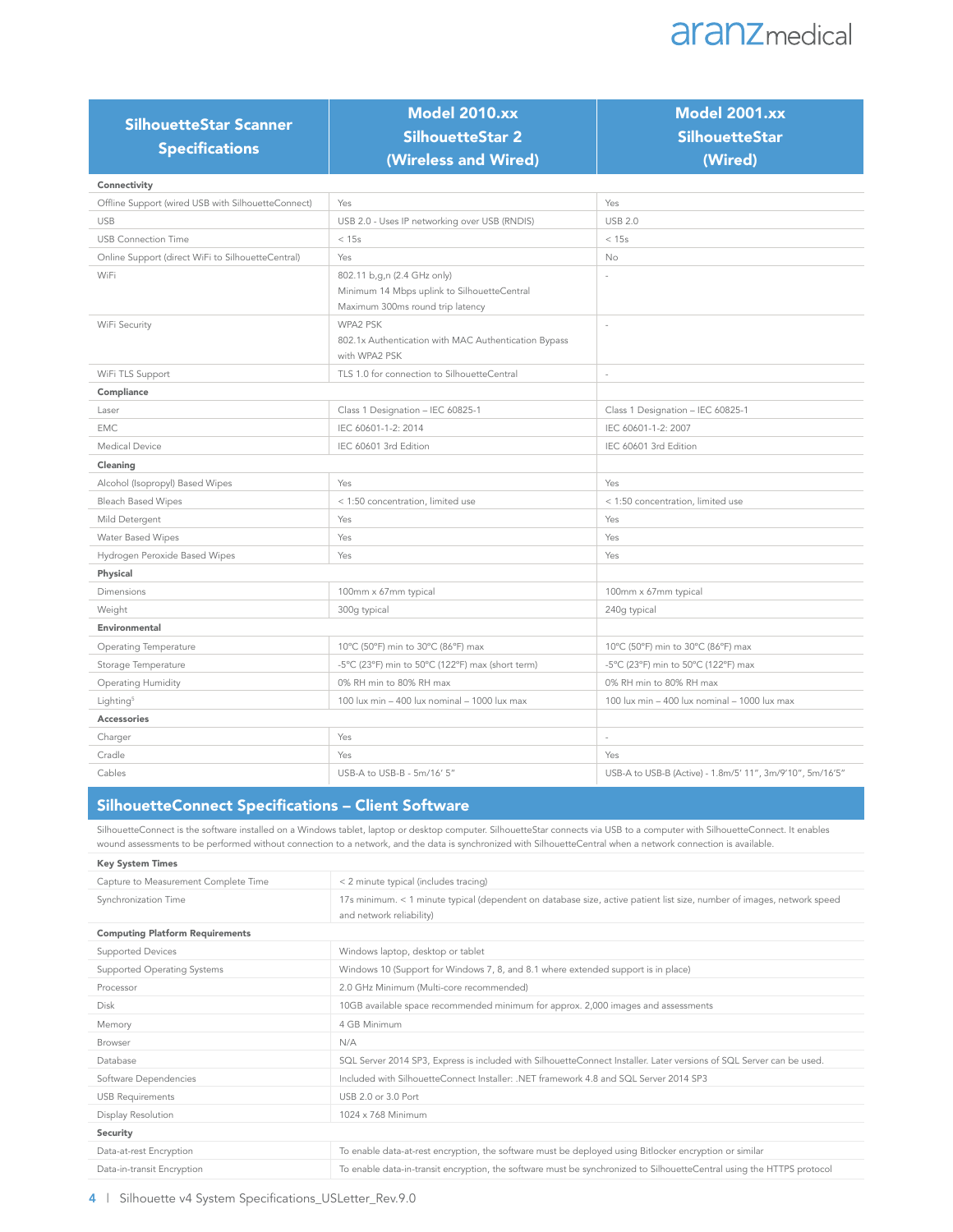# **aranz** medical

| <b>SilhouetteStar Scanner</b><br><b>Specifications</b> | <b>Model 2010.xx</b><br>SilhouetteStar 2<br>(Wireless and Wired)                                               | <b>Model 2001.xx</b><br><b>SilhouetteStar</b><br>(Wired)  |
|--------------------------------------------------------|----------------------------------------------------------------------------------------------------------------|-----------------------------------------------------------|
| Connectivity                                           |                                                                                                                |                                                           |
| Offline Support (wired USB with SilhouetteConnect)     | Yes                                                                                                            | Yes                                                       |
| <b>USB</b>                                             | USB 2.0 - Uses IP networking over USB (RNDIS)                                                                  | <b>USB 2.0</b>                                            |
| <b>USB Connection Time</b>                             | < 15s                                                                                                          | < 15s                                                     |
| Online Support (direct WiFi to SilhouetteCentral)      | Yes                                                                                                            | No                                                        |
| WiFi                                                   | 802.11 b,g,n (2.4 GHz only)<br>Minimum 14 Mbps uplink to SilhouetteCentral<br>Maximum 300ms round trip latency |                                                           |
| WiFi Security                                          | WPA2 PSK<br>802.1x Authentication with MAC Authentication Bypass<br>with WPA2 PSK                              | ٠                                                         |
| WiFi TLS Support                                       | TLS 1.0 for connection to SilhouetteCentral                                                                    | J.                                                        |
| Compliance                                             |                                                                                                                |                                                           |
| Laser                                                  | Class 1 Designation - IEC 60825-1                                                                              | Class 1 Designation - IEC 60825-1                         |
| <b>EMC</b>                                             | IEC 60601-1-2: 2014                                                                                            | IEC 60601-1-2: 2007                                       |
| Medical Device                                         | IEC 60601 3rd Edition                                                                                          | IEC 60601 3rd Edition                                     |
| Cleaning                                               |                                                                                                                |                                                           |
| Alcohol (Isopropyl) Based Wipes                        | Yes                                                                                                            | Yes                                                       |
| <b>Bleach Based Wipes</b>                              | < 1:50 concentration, limited use                                                                              | < 1:50 concentration, limited use                         |
| Mild Detergent                                         | Yes                                                                                                            | Yes                                                       |
| Water Based Wipes                                      | Yes                                                                                                            | Yes                                                       |
| Hydrogen Peroxide Based Wipes                          | Yes                                                                                                            | Yes                                                       |
| Physical                                               |                                                                                                                |                                                           |
| <b>Dimensions</b>                                      | 100mm x 67mm typical                                                                                           | 100mm x 67mm typical                                      |
| Weight                                                 | 300g typical                                                                                                   | 240g typical                                              |
| Environmental                                          |                                                                                                                |                                                           |
| Operating Temperature                                  | 10°C (50°F) min to 30°C (86°F) max                                                                             | 10°C (50°F) min to 30°C (86°F) max                        |
| Storage Temperature                                    | -5°C (23°F) min to 50°C (122°F) max (short term)                                                               | -5°C (23°F) min to 50°C (122°F) max                       |
| Operating Humidity                                     | 0% RH min to 80% RH max                                                                                        | 0% RH min to 80% RH max                                   |
| Lighting <sup>5</sup>                                  | 100 lux min - 400 lux nominal - 1000 lux max                                                                   | 100 lux min - 400 lux nominal - 1000 lux max              |
| Accessories                                            |                                                                                                                |                                                           |
| Charger                                                | Yes                                                                                                            | $\overline{\phantom{a}}$                                  |
| Cradle                                                 | Yes                                                                                                            | Yes                                                       |
| Cables                                                 | USB-A to USB-B - 5m/16' 5"                                                                                     | USB-A to USB-B (Active) - 1.8m/5' 11", 3m/9'10", 5m/16'5" |

#### SilhouetteConnect Specifications – Client Software

SilhouetteConnect is the software installed on a Windows tablet, laptop or desktop computer. SilhouetteStar connects via USB to a computer with SilhouetteConnect. It enables wound assessments to be performed without connection to a network, and the data is synchronized with SilhouetteCentral when a network connection is available.

| <b>Key System Times</b>                |                                                                                                                                                    |
|----------------------------------------|----------------------------------------------------------------------------------------------------------------------------------------------------|
| Capture to Measurement Complete Time   | < 2 minute typical (includes tracing)                                                                                                              |
| Synchronization Time                   | 17s minimum. < 1 minute typical (dependent on database size, active patient list size, number of images, network speed<br>and network reliability) |
| <b>Computing Platform Requirements</b> |                                                                                                                                                    |
| <b>Supported Devices</b>               | Windows laptop, desktop or tablet                                                                                                                  |
| Supported Operating Systems            | Windows 10 (Support for Windows 7, 8, and 8.1 where extended support is in place)                                                                  |
| Processor                              | 2.0 GHz Minimum (Multi-core recommended)                                                                                                           |
| <b>Disk</b>                            | 10GB available space recommended minimum for approx. 2,000 images and assessments                                                                  |
| Memory                                 | 4 GB Minimum                                                                                                                                       |
| <b>Browser</b>                         | N/A                                                                                                                                                |
| Database                               | SQL Server 2014 SP3, Express is included with SilhouetteConnect Installer. Later versions of SQL Server can be used.                               |
| Software Dependencies                  | Included with SilhouetteConnect Installer: .NET framework 4.8 and SOL Server 2014 SP3                                                              |
| <b>USB Requirements</b>                | USB 2.0 or 3.0 Port                                                                                                                                |
| Display Resolution                     | 1024 x 768 Minimum                                                                                                                                 |
| Security                               |                                                                                                                                                    |
| Data-at-rest Encryption                | To enable data-at-rest encryption, the software must be deployed using Bitlocker encryption or similar                                             |
| Data-in-transit Encryption             | To enable data-in-transit encryption, the software must be synchronized to SilhouetteCentral using the HTTPS protocol                              |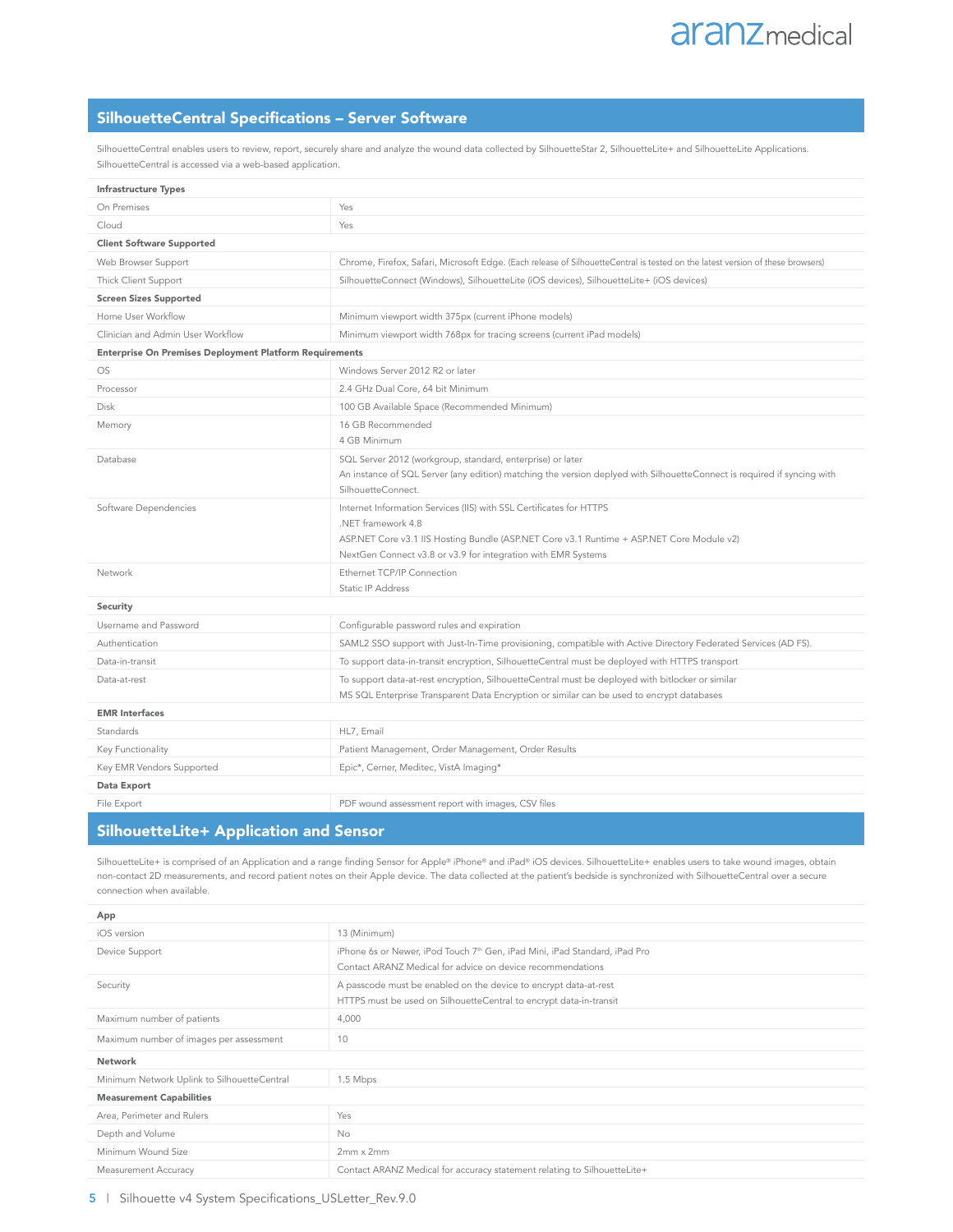## SilhouetteCentral Specifications – Server Software

SilhouetteCentral enables users to review, report, securely share and analyze the wound data collected by SilhouetteStar 2, SilhouetteLite+ and SilhouetteLite Applications. SilhouetteCentral is accessed via a web-based application.

| Infrastructure Types                                           |                                                                                                                                                                                                                                                         |
|----------------------------------------------------------------|---------------------------------------------------------------------------------------------------------------------------------------------------------------------------------------------------------------------------------------------------------|
| On Premises                                                    | Yes                                                                                                                                                                                                                                                     |
| Cloud                                                          | Yes                                                                                                                                                                                                                                                     |
| <b>Client Software Supported</b>                               |                                                                                                                                                                                                                                                         |
| Web Browser Support                                            | Chrome, Firefox, Safari, Microsoft Edge. (Each release of SilhouetteCentral is tested on the latest version of these browsers)                                                                                                                          |
| Thick Client Support                                           | SilhouetteConnect (Windows), SilhouetteLite (iOS devices), SilhouetteLite+ (iOS devices)                                                                                                                                                                |
| <b>Screen Sizes Supported</b>                                  |                                                                                                                                                                                                                                                         |
| Home User Workflow                                             | Minimum viewport width 375px (current iPhone models)                                                                                                                                                                                                    |
| Clinician and Admin User Workflow                              | Minimum viewport width 768px for tracing screens (current iPad models)                                                                                                                                                                                  |
| <b>Enterprise On Premises Deployment Platform Requirements</b> |                                                                                                                                                                                                                                                         |
| <b>OS</b>                                                      | Windows Server 2012 R2 or later                                                                                                                                                                                                                         |
| Processor                                                      | 2.4 GHz Dual Core, 64 bit Minimum                                                                                                                                                                                                                       |
| Disk                                                           | 100 GB Available Space (Recommended Minimum)                                                                                                                                                                                                            |
| Memory                                                         | 16 GB Recommended<br>4 GB Minimum                                                                                                                                                                                                                       |
| Database                                                       | SQL Server 2012 (workgroup, standard, enterprise) or later<br>An instance of SQL Server (any edition) matching the version deplyed with SilhouetteConnect is required if syncing with<br>SilhouetteConnect.                                             |
| Software Dependencies                                          | Internet Information Services (IIS) with SSL Certificates for HTTPS<br>.NET framework 4.8<br>ASP.NET Core v3.1 IIS Hosting Bundle (ASP.NET Core v3.1 Runtime + ASP.NET Core Module v2)<br>NextGen Connect v3.8 or v3.9 for integration with EMR Systems |
| Network                                                        | Ethernet TCP/IP Connection<br>Static IP Address                                                                                                                                                                                                         |
| Security                                                       |                                                                                                                                                                                                                                                         |
| Username and Password                                          | Configurable password rules and expiration                                                                                                                                                                                                              |
| Authentication                                                 | SAML2 SSO support with Just-In-Time provisioning, compatible with Active Directory Federated Services (AD FS).                                                                                                                                          |
| Data-in-transit                                                | To support data-in-transit encryption, SilhouetteCentral must be deployed with HTTPS transport                                                                                                                                                          |
| Data-at-rest                                                   | To support data-at-rest encryption, SilhouetteCentral must be deployed with bitlocker or similar<br>MS SQL Enterprise Transparent Data Encryption or similar can be used to encrypt databases                                                           |
| <b>EMR</b> Interfaces                                          |                                                                                                                                                                                                                                                         |
| Standards                                                      | HL7, Email                                                                                                                                                                                                                                              |
| Key Functionality                                              | Patient Management, Order Management, Order Results                                                                                                                                                                                                     |
| Key EMR Vendors Supported                                      | Epic*, Cerner, Meditec, VistA Imaging*                                                                                                                                                                                                                  |
| Data Export                                                    |                                                                                                                                                                                                                                                         |
| File Export                                                    | PDF wound assessment report with images, CSV files                                                                                                                                                                                                      |

#### SilhouetteLite+ Application and Sensor

SilhouetteLite+ is comprised of an Application and a range finding Sensor for Apple® iPhone® and iPad® iOS devices. SilhouetteLite+ enables users to take wound images, obtain non-contact 2D measurements, and record patient notes on their Apple device. The data collected at the patient's bedside is synchronized with SilhouetteCentral over a secure connection when available.

| App                                         |                                                                                                                                                      |
|---------------------------------------------|------------------------------------------------------------------------------------------------------------------------------------------------------|
| iOS version                                 | 13 (Minimum)                                                                                                                                         |
| Device Support                              | iPhone 6s or Newer, iPod Touch 7 <sup>th</sup> Gen, iPad Mini, iPad Standard, iPad Pro<br>Contact ARANZ Medical for advice on device recommendations |
| Security                                    | A passcode must be enabled on the device to encrypt data-at-rest<br>HTTPS must be used on SilhouetteCentral to encrypt data-in-transit               |
| Maximum number of patients                  | 4,000                                                                                                                                                |
| Maximum number of images per assessment     | 10                                                                                                                                                   |
| Network                                     |                                                                                                                                                      |
| Minimum Network Uplink to SilhouetteCentral | 1.5 Mbps                                                                                                                                             |
| <b>Measurement Capabilities</b>             |                                                                                                                                                      |
| Area, Perimeter and Rulers                  | Yes                                                                                                                                                  |
| Depth and Volume                            | <b>No</b>                                                                                                                                            |
| Minimum Wound Size                          | $2mm \times 2mm$                                                                                                                                     |
| Measurement Accuracy                        | Contact ARANZ Medical for accuracy statement relating to SilhouetteLite+                                                                             |